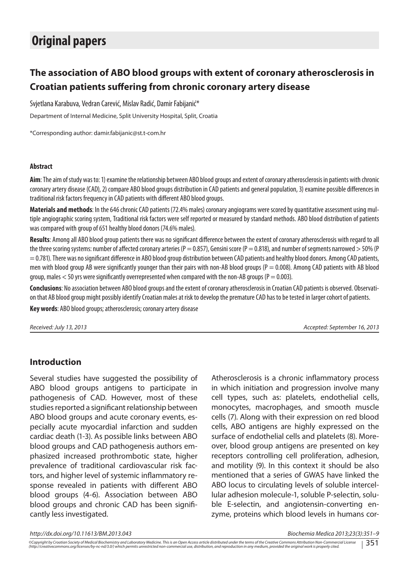# **Original papers**

## **The association of ABO blood groups with extent of coronary atherosclerosis in Croatian patients suffering from chronic coronary artery disease**

Svjetlana Karabuva, Vedran Carević, Mislav Radić, Damir Fabijanić\*

Department of Internal Medicine, Split University Hospital, Split, Croatia

\*Corresponding author: damir.fabijanic@st.t-com.hr

#### **Abstract**

**Aim**: The aim of study was to: 1) examine the relationship between ABO blood groups and extent of coronary atherosclerosis in patients with chronic coronary artery disease (CAD), 2) compare ABO blood groups distribution in CAD patients and general population, 3) examine possible differences in traditional risk factors frequency in CAD patients with different ABO blood groups.

**Materials and methods**: In the 646 chronic CAD patients (72.4% males) coronary angiograms were scored by quantitative assessment using multiple angiographic scoring system, Traditional risk factors were self reported or measured by standard methods. ABO blood distribution of patients was compared with group of 651 healthy blood donors (74.6% males).

**Results**: Among all ABO blood group patients there was no significant difference between the extent of coronary atherosclerosis with regard to all the three scoring systems: number of affected coronary arteries (P = 0.857), Gensini score (P = 0.818), and number of segments narrowed > 50% (P  $=$  0.781). There was no significant difference in ABO blood group distribution between CAD patients and healthy blood donors. Among CAD patients, men with blood group AB were significantly younger than their pairs with non-AB blood groups ( $P = 0.008$ ). Among CAD patients with AB blood group, males  $<$  50 yrs were significantly overrepresented when compared with the non-AB groups (P = 0.003).

**Conclusions**: No association between ABO blood groups and the extent of coronary atherosclerosis in Croatian CAD patients is observed. Observation that AB blood group might possibly identify Croatian males at risk to develop the premature CAD has to be tested in larger cohort of patients.

**Key words**: ABO blood groups; atherosclerosis; coronary artery disease

*Received: July 13, 2013 Accepted: September 16, 2013*

#### **Introduction**

Several studies have suggested the possibility of ABO blood groups antigens to participate in pathogenesis of CAD. However, most of these studies reported a significant relationship between ABO blood groups and acute coronary events, especially acute myocardial infarction and sudden cardiac death (1-3). As possible links between ABO blood groups and CAD pathogenesis authors emphasized increased prothrombotic state, higher prevalence of traditional cardiovascular risk factors, and higher level of systemic inflammatory response revealed in patients with different ABO blood groups (4-6). Association between ABO blood groups and chronic CAD has been significantly less investigated.

Atherosclerosis is a chronic inflammatory process in which initiation and progression involve many cell types, such as: platelets, endothelial cells, monocytes, macrophages, and smooth muscle cells (7). Along with their expression on red blood cells, ABO antigens are highly expressed on the surface of endothelial cells and platelets (8). Moreover, blood group antigens are presented on key receptors controlling cell proliferation, adhesion, and motility (9). In this context it should be also mentioned that a series of GWAS have linked the ABO locus to circulating levels of soluble intercellular adhesion molecule-1, soluble P-selectin, soluble E-selectin, and angiotensin-converting enzyme, proteins which blood levels in humans cor-

*http://dx.doi.org/10.11613/BM.2013.043 Biochemia Medica 2013;23(3):351–9*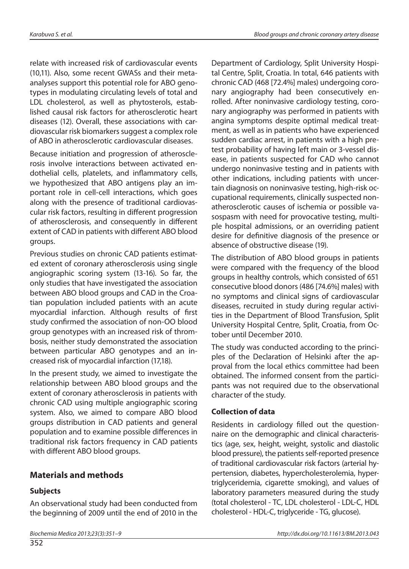relate with increased risk of cardiovascular events (10,11). Also, some recent GWASs and their metaanalyses support this potential role for ABO genotypes in modulating circulating levels of total and LDL cholesterol, as well as phytosterols, established causal risk factors for atherosclerotic heart diseases (12). Overall, these associations with cardiovascular risk biomarkers suggest a complex role of ABO in atherosclerotic cardiovascular diseases.

Because initiation and progression of atherosclerosis involve interactions between activated endothelial cells, platelets, and inflammatory cells, we hypothesized that ABO antigens play an important role in cell-cell interactions, which goes along with the presence of traditional cardiovascular risk factors, resulting in different progression of atherosclerosis, and consequently in different extent of CAD in patients with different ABO blood groups.

Previous studies on chronic CAD patients estimated extent of coronary atherosclerosis using single angiographic scoring system (13-16). So far, the only studies that have investigated the association between ABO blood groups and CAD in the Croatian population included patients with an acute myocardial infarction. Although results of first study confirmed the association of non-OO blood group genotypes with an increased risk of thrombosis, neither study demonstrated the association between particular ABO genotypes and an increased risk of myocardial infarction (17,18).

In the present study, we aimed to investigate the relationship between ABO blood groups and the extent of coronary atherosclerosis in patients with chronic CAD using multiple angiographic scoring system. Also, we aimed to compare ABO blood groups distribution in CAD patients and general population and to examine possible differences in traditional risk factors frequency in CAD patients with different ABO blood groups.

## **Materials and methods**

### **Subjects**

An observational study had been conducted from the beginning of 2009 until the end of 2010 in the Department of Cardiology, Split University Hospital Centre, Split, Croatia. In total, 646 patients with chronic CAD (468 [72.4%] males) undergoing coronary angiography had been consecutively enrolled. After noninvasive cardiology testing, coronary angiography was performed in patients with angina symptoms despite optimal medical treatment, as well as in patients who have experienced sudden cardiac arrest, in patients with a high pretest probability of having left main or 3-vessel disease, in patients suspected for CAD who cannot undergo noninvasive testing and in patients with other indications, including patients with uncertain diagnosis on noninvasive testing, high-risk occupational requirements, clinically suspected nonatherosclerotic causes of ischemia or possible vasospasm with need for provocative testing, multiple hospital admissions, or an overriding patient desire for definitive diagnosis of the presence or absence of obstructive disease (19).

The distribution of ABO blood groups in patients were compared with the frequency of the blood groups in healthy controls, which consisted of 651 consecutive blood donors (486 [74.6%] males) with no symptoms and clinical signs of cardiovascular diseases, recruited in study during regular activities in the Department of Blood Transfusion, Split University Hospital Centre, Split, Croatia, from October until December 2010.

The study was conducted according to the principles of the Declaration of Helsinki after the approval from the local ethics committee had been obtained. The informed consent from the participants was not required due to the observational character of the study.

#### **Collection of data**

Residents in cardiology filled out the questionnaire on the demographic and clinical characteristics (age, sex, height, weight, systolic and diastolic blood pressure), the patients self-reported presence of traditional cardiovascular risk factors (arterial hypertension, diabetes, hypercholesterolemia, hypertriglyceridemia, cigarette smoking), and values of laboratory parameters measured during the study (total cholesterol - TC, LDL cholesterol - LDL-C, HDL cholesterol - HDL-C, triglyceride - TG, glucose).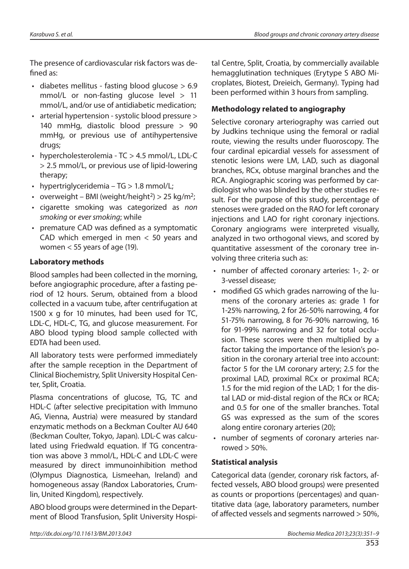The presence of cardiovascular risk factors was defined as:

- $\cdot$  diabetes mellitus fasting blood glucose  $> 6.9$ mmol/L or non-fasting glucose level > 11 mmol/L, and/or use of antidiabetic medication;
- arterial hypertension systolic blood pressure > 140 mmHg, diastolic blood pressure > 90 mmHg, or previous use of antihypertensive drugs;
- hypercholesterolemia  $TC > 4.5$  mmol/L, LDL-C > 2.5 mmol/L, or previous use of lipid-lowering therapy;
- hypertriglyceridemia  $TG > 1.8$  mmol/L;
- overweight BMI (weight/height<sup>2</sup>) > 25 kg/m<sup>2</sup>;
- • cigarette smoking was categorized as *non smoking* or *ever smoking*; while
- premature CAD was defined as a symptomatic CAD which emerged in men < 50 years and women  $<$  55 years of age (19).

#### **Laboratory methods**

Blood samples had been collected in the morning, before angiographic procedure, after a fasting period of 12 hours. Serum, obtained from a blood collected in a vacuum tube, after centrifugation at 1500 x g for 10 minutes, had been used for TC, LDL-C, HDL-C, TG, and glucose measurement. For ABO blood typing blood sample collected with EDTA had been used.

All laboratory tests were performed immediately after the sample reception in the Department of Clinical Biochemistry, Split University Hospital Center, Split, Croatia.

Plasma concentrations of glucose, TG, TC and HDL-C (after selective precipitation with Immuno AG, Vienna, Austria) were measured by standard enzymatic methods on a Beckman Coulter AU 640 (Beckman Coulter, Tokyo, Japan). LDL-C was calculated using Friedwald equation. If TG concentration was above 3 mmol/L, HDL-C and LDL-C were measured by direct immunoinhibition method (Olympus Diagnostica, Lismeehan, Ireland) and homogeneous assay (Randox Laboratories, Crumlin, United Kingdom), respectively.

ABO blood groups were determined in the Department of Blood Transfusion, Split University Hospital Centre, Split, Croatia, by commercially available hemagglutination techniques (Erytype S ABO Microplates, Biotest, Dreieich, Germany). Typing had been performed within 3 hours from sampling.

#### **Methodology related to angiography**

Selective coronary arteriography was carried out by Judkins technique using the femoral or radial route, viewing the results under fluoroscopy. The four cardinal epicardial vessels for assessment of stenotic lesions were LM, LAD, such as diagonal branches, RCx, obtuse marginal branches and the RCA. Angiographic scoring was performed by cardiologist who was blinded by the other studies result. For the purpose of this study, percentage of stenoses were graded on the RAO for left coronary injections and LAO for right coronary injections. Coronary angiograms were interpreted visually, analyzed in two orthogonal views, and scored by quantitative assessment of the coronary tree involving three criteria such as:

- number of affected coronary arteries: 1-, 2- or 3-vessel disease;
- modified GS which grades narrowing of the lumens of the coronary arteries as: grade 1 for 1-25% narrowing, 2 for 26-50% narrowing, 4 for 51-75% narrowing, 8 for 76-90% narrowing, 16 for 91-99% narrowing and 32 for total occlusion. These scores were then multiplied by a factor taking the importance of the lesion's position in the coronary arterial tree into account: factor 5 for the LM coronary artery; 2.5 for the proximal LAD, proximal RCx or proximal RCA; 1.5 for the mid region of the LAD; 1 for the distal LAD or mid-distal region of the RCx or RCA; and 0.5 for one of the smaller branches. Total GS was expressed as the sum of the scores along entire coronary arteries (20);
- number of segments of coronary arteries narrowed  $>$  50%.

#### **Statistical analysis**

Categorical data (gender, coronary risk factors, affected vessels, ABO blood groups) were presented as counts or proportions (percentages) and quantitative data (age, laboratory parameters, number of affected vessels and segments narrowed > 50%,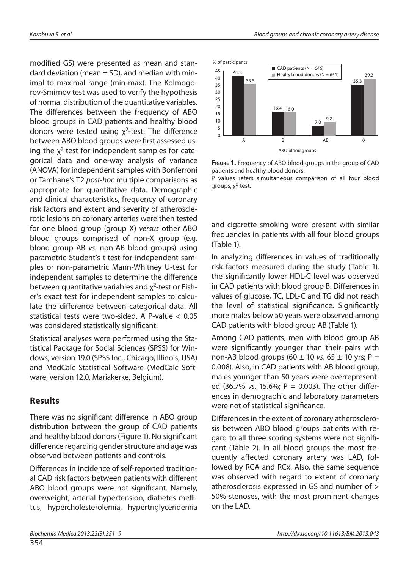modified GS) were presented as mean and standard deviation (mean  $\pm$  SD), and median with minimal to maximal range (min-max). The Kolmogorov-Smirnov test was used to verify the hypothesis of normal distribution of the quantitative variables. The differences between the frequency of ABO blood groups in CAD patients and healthy blood donors were tested using  $x^2$ -test. The difference between ABO blood groups were first assessed using the  $x^2$ -test for independent samples for categorical data and one-way analysis of variance (ANOVA) for independent samples with Bonferroni or Tamhane's T2 *post-hoc* multiple comparisons as appropriate for quantitative data. Demographic and clinical characteristics, frequency of coronary risk factors and extent and severity of atherosclerotic lesions on coronary arteries were then tested for one blood group (group X) *versus* other ABO blood groups comprised of non-X group (e.g. blood group AB *vs.* non-AB blood groups) using parametric Student's t-test for independent samples or non-parametric Mann-Whitney U-test for independent samples to determine the difference between quantitative variables and  $\chi^2$ -test or Fisher's exact test for independent samples to calculate the difference between categorical data. All statistical tests were two-sided. A P-value < 0.05 was considered statistically significant.

Statistical analyses were performed using the Statistical Package for Social Sciences (SPSS) for Windows, version 19.0 (SPSS Inc., Chicago, Illinois, USA) and MedCalc Statistical Software (MedCalc Software, version 12.0, Mariakerke, Belgium).

### **Results**

There was no significant difference in ABO group distribution between the group of CAD patients and healthy blood donors (Figure 1). No significant difference regarding gender structure and age was observed between patients and controls.

Differences in incidence of self-reported traditional CAD risk factors between patients with different ABO blood groups were not significant. Namely, overweight, arterial hypertension, diabetes mellitus, hypercholesterolemia, hypertriglyceridemia



**Figure 1.** Frequency of ABO blood groups in the group of CAD patients and healthy blood donors.

P values refers simultaneous comparison of all four blood groups;  $x^2$ -test.

and cigarette smoking were present with similar frequencies in patients with all four blood groups (Table 1).

In analyzing differences in values of traditionally risk factors measured during the study (Table 1), the significantly lower HDL-C level was observed in CAD patients with blood group B. Differences in values of glucose, TC, LDL-C and TG did not reach the level of statistical significance. Significantly more males below 50 years were observed among CAD patients with blood group AB (Table 1).

Among CAD patients, men with blood group AB were significantly younger than their pairs with non-AB blood groups (60 ± 10 *vs*. 65 ± 10 yrs; P = 0.008). Also, in CAD patients with AB blood group, males younger than 50 years were overrepresented (36.7% *vs*. 15.6%; P = 0.003). The other differences in demographic and laboratory parameters were not of statistical significance.

Differences in the extent of coronary atherosclerosis between ABO blood groups patients with regard to all three scoring systems were not significant (Table 2). In all blood groups the most frequently affected coronary artery was LAD, followed by RCA and RCx. Also, the same sequence was observed with regard to extent of coronary atherosclerosis expressed in GS and number of > 50% stenoses, with the most prominent changes on the LAD.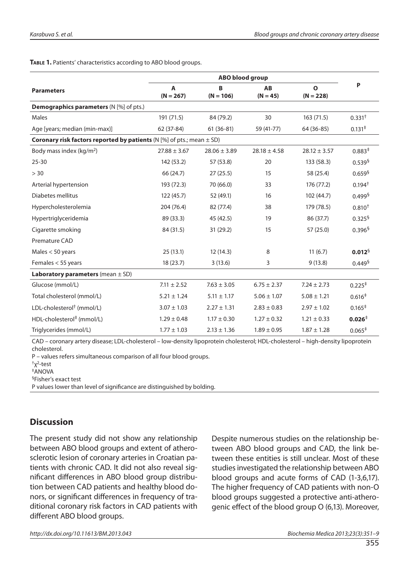**TABLE 1.** Patients' characteristics according to ABO blood groups.

|                                                                                    | <b>ABO blood group</b> |                  |                  |                             |                    |  |  |  |  |
|------------------------------------------------------------------------------------|------------------------|------------------|------------------|-----------------------------|--------------------|--|--|--|--|
| <b>Parameters</b>                                                                  | A<br>$(N = 267)$       | B<br>$(N = 106)$ | AB<br>$(N = 45)$ | $\mathbf{o}$<br>$(N = 228)$ |                    |  |  |  |  |
| <b>Demographics parameters (N [%] of pts.)</b>                                     |                        |                  |                  |                             |                    |  |  |  |  |
| <b>Males</b>                                                                       | 191 (71.5)             | 84 (79.2)        | 30               | 163(71.5)                   | 0.331 <sup>†</sup> |  |  |  |  |
| Age [years; median (min-max)]                                                      | 62 (37-84)             | $61(36-81)$      | 59 (41-77)       | 64 (36-85)                  | 0.131 <sup>‡</sup> |  |  |  |  |
| <b>Coronary risk factors reported by patients</b> (N $[%]$ of pts.; mean $\pm$ SD) |                        |                  |                  |                             |                    |  |  |  |  |
| Body mass index (kg/m <sup>2</sup> )                                               | $27.88 \pm 3.67$       | $28.06 \pm 3.89$ | $28.18 \pm 4.58$ | $28.12 \pm 3.57$            | 0.883 <sup>‡</sup> |  |  |  |  |
| $25 - 30$                                                                          | 142 (53.2)             | 57 (53.8)        | 20               | 133 (58.3)                  | 0.539 <sup>§</sup> |  |  |  |  |
| > 30                                                                               | 66 (24.7)              | 27(25.5)         | 15               | 58 (25.4)                   | 0.659 <sup>§</sup> |  |  |  |  |
| Arterial hypertension                                                              | 193 (72.3)             | 70 (66.0)        | 33               | 176 (77.2)                  | 0.194 <sup>†</sup> |  |  |  |  |
| Diabetes mellitus                                                                  | 122(45.7)              | 52 (49.1)        | 16               | 102 (44.7)                  | 0.499 <sup>§</sup> |  |  |  |  |
| Hypercholesterolemia                                                               | 204 (76.4)             | 82 (77.4)        | 38               | 179 (78.5)                  | $0.810^{+}$        |  |  |  |  |
| Hypertriglyceridemia                                                               | 89 (33.3)              | 45 (42.5)        | 19               | 86 (37.7)                   | 0.325 <sup>6</sup> |  |  |  |  |
| Cigarette smoking                                                                  | 84 (31.5)              | 31 (29.2)        | 15               | 57 (25.0)                   | 0.396 <sup>§</sup> |  |  |  |  |
| Premature CAD                                                                      |                        |                  |                  |                             |                    |  |  |  |  |
| Males $<$ 50 years                                                                 | 25(13.1)               | 12(14.3)         | 8                | 11(6.7)                     | $0.012^{5}$        |  |  |  |  |
| Females < 55 years                                                                 | 18 (23.7)              | 3(13.6)          | 3                | 9(13.8)                     | 0.449 <sup>§</sup> |  |  |  |  |
| Laboratory parameters (mean $\pm$ SD)                                              |                        |                  |                  |                             |                    |  |  |  |  |
| Glucose (mmol/L)                                                                   | $7.11 \pm 2.52$        | $7.63 \pm 3.05$  | $6.75 \pm 2.37$  | $7.24 \pm 2.73$             | $0.225^{\ddagger}$ |  |  |  |  |
| Total cholesterol (mmol/L)                                                         | $5.21 \pm 1.24$        | $5.11 \pm 1.17$  | $5.06 \pm 1.07$  | $5.08 \pm 1.21$             | 0.616 <sup>‡</sup> |  |  |  |  |
| LDL-cholesterol <sup>+</sup> (mmol/L)                                              | $3.07 \pm 1.03$        | $2.27 \pm 1.31$  | $2.83 \pm 0.83$  | $2.97 \pm 1.02$             | $0.165^+$          |  |  |  |  |
| HDL-cholesterol <sup>#</sup> (mmol/L)                                              | $1.29 \pm 0.48$        | $1.17 \pm 0.30$  | $1.27 \pm 0.32$  | $1.21 \pm 0.33$             | 0.026 <sup>‡</sup> |  |  |  |  |
| Triglycerides (mmol/L)                                                             | $1.77 \pm 1.03$        | $2.13 \pm 1.36$  | $1.89 \pm 0.95$  | $1.87 \pm 1.28$             | $0.065*$           |  |  |  |  |

CAD – coronary artery disease; LDL-cholesterol – low-density lipoprotein cholesterol; HDL-cholesterol – high-density lipoprotein cholesterol.

P – values refers simultaneous comparison of all four blood groups.

§Fisher's exact test

P values lower than level of significance are distinguished by bolding.

## **Discussion**

The present study did not show any relationship between ABO blood groups and extent of atherosclerotic lesion of coronary arteries in Croatian patients with chronic CAD. It did not also reveal significant differences in ABO blood group distribution between CAD patients and healthy blood donors, or significant differences in frequency of traditional coronary risk factors in CAD patients with different ABO blood groups.

Despite numerous studies on the relationship between ABO blood groups and CAD, the link between these entities is still unclear. Most of these studies investigated the relationship between ABO blood groups and acute forms of CAD (1-3,6,17). The higher frequency of CAD patients with non-O blood groups suggested a protective anti-atherogenic effect of the blood group O (6,13). Moreover,

<sup>†</sup>χ2-test

<sup>‡</sup>ANOVA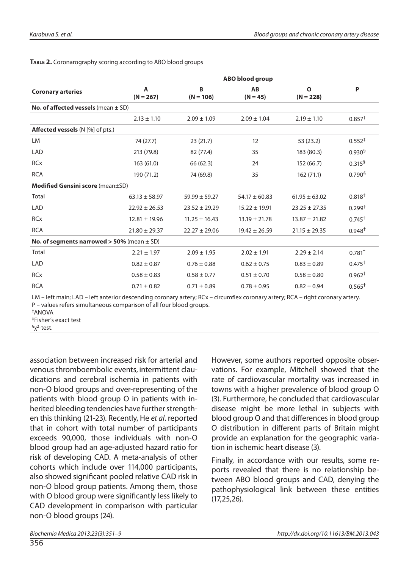|                                                  | <b>ABO blood group</b> |                   |                   |                             |                    |  |  |
|--------------------------------------------------|------------------------|-------------------|-------------------|-----------------------------|--------------------|--|--|
| <b>Coronary arteries</b>                         | A<br>$(N = 267)$       | B<br>$(N = 106)$  | AB<br>$(N = 45)$  | $\mathbf{o}$<br>$(N = 228)$ | P                  |  |  |
| <b>No. of affected vessels</b> (mean $\pm$ SD)   |                        |                   |                   |                             |                    |  |  |
|                                                  | $2.13 \pm 1.10$        | $2.09 \pm 1.09$   | $2.09 \pm 1.04$   | $2.19 \pm 1.10$             | 0.857 <sup>†</sup> |  |  |
| <b>Affected vessels</b> (N [%] of pts.)          |                        |                   |                   |                             |                    |  |  |
| <b>LM</b>                                        | 74 (27.7)              | 23(21.7)          | 12                | 53 (23.2)                   | $0.552^{+}$        |  |  |
| LAD                                              | 213 (79.8)             | 82 (77.4)         | 35                | 183 (80.3)                  | 0.930 <sup>§</sup> |  |  |
| <b>RC<sub>x</sub></b>                            | 163(61.0)              | 66 (62.3)         | 24                | 152 (66.7)                  | 0.315 <sup>§</sup> |  |  |
| <b>RCA</b>                                       | 190 (71.2)             | 74 (69.8)         | 35                | 162(71.1)                   | 0.790 <sup>5</sup> |  |  |
| <b>Modified Gensini score</b> (mean±SD)          |                        |                   |                   |                             |                    |  |  |
| Total                                            | $63.13 \pm 58.97$      | $59.99 \pm 59.27$ | $54.17 \pm 60.83$ | $61.95 \pm 63.02$           | 0.818 <sup>†</sup> |  |  |
| LAD                                              | $22.92 \pm 26.53$      | $23.52 \pm 29.29$ | $15.22 \pm 19.91$ | $23.25 \pm 27.35$           | 0.299 <sup>†</sup> |  |  |
| <b>RC<sub>x</sub></b>                            | $12.81 \pm 19.96$      | $11.25 \pm 16.43$ | $13.19 \pm 21.78$ | $13.87 \pm 21.82$           | $0.745^+$          |  |  |
| <b>RCA</b>                                       | $21.80 \pm 29.37$      | $22.27 \pm 29.06$ | $19.42 \pm 26.59$ | $21.15 \pm 29.35$           | 0.948 <sup>†</sup> |  |  |
| No. of segments narrowed $>$ 50% (mean $\pm$ SD) |                        |                   |                   |                             |                    |  |  |
| Total                                            | $2.21 \pm 1.97$        | $2.09 \pm 1.95$   | $2.02 \pm 1.91$   | $2.29 \pm 2.14$             | 0.781 <sup>†</sup> |  |  |
| LAD                                              | $0.82 \pm 0.87$        | $0.76 \pm 0.88$   | $0.62 \pm 0.75$   | $0.83 \pm 0.89$             | $0.475^+$          |  |  |
| <b>RC<sub>x</sub></b>                            | $0.58 \pm 0.83$        | $0.58 \pm 0.77$   | $0.51 \pm 0.70$   | $0.58 \pm 0.80$             | $0.962^+$          |  |  |
| <b>RCA</b>                                       | $0.71 \pm 0.82$        | $0.71 \pm 0.89$   | $0.78 \pm 0.95$   | $0.82 \pm 0.94$             | $0.565^+$          |  |  |

**Table 2.** Coronarography scoring according to ABO blood groups

LM – left main; LAD – left anterior descending coronary artery; RCx – circumflex coronary artery; RCA – right coronary artery. P – values refers simultaneous comparison of all four blood groups.

†ANOVA

‡Fisher's exact test

 $\frac{1}{2}x^2$ -test.

association between increased risk for arterial and venous thromboembolic events, intermittent claudications and cerebral ischemia in patients with non-O blood groups and over-representing of the patients with blood group O in patients with inherited bleeding tendencies have further strengthen this thinking (21-23). Recently, He *et al*. reported that in cohort with total number of participants exceeds 90,000, those individuals with non-O blood group had an age-adjusted hazard ratio for risk of developing CAD. A meta-analysis of other cohorts which include over 114,000 participants, also showed significant pooled relative CAD risk in non-O blood group patients. Among them, those with O blood group were significantly less likely to CAD development in comparison with particular non-O blood groups (24).

However, some authors reported opposite observations. For example, Mitchell showed that the rate of cardiovascular mortality was increased in towns with a higher prevalence of blood group O (3). Furthermore, he concluded that cardiovascular disease might be more lethal in subjects with blood group O and that differences in blood group O distribution in different parts of Britain might provide an explanation for the geographic variation in ischemic heart disease (3).

Finally, in accordance with our results, some reports revealed that there is no relationship between ABO blood groups and CAD, denying the pathophysiological link between these entities (17,25,26).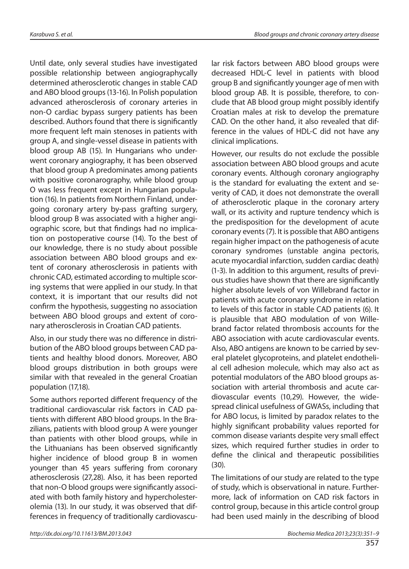Until date, only several studies have investigated possible relationship between angiographycally determined atherosclerotic changes in stable CAD and ABO blood groups (13-16). In Polish population advanced atherosclerosis of coronary arteries in non-O cardiac bypass surgery patients has been described. Authors found that there is significantly more frequent left main stenoses in patients with group A, and single-vessel disease in patients with blood group AB (15). In Hungarians who underwent coronary angiography, it has been observed that blood group A predominates among patients with positive coronarography, while blood group O was less frequent except in Hungarian population (16). In patients from Northern Finland, undergoing coronary artery by-pass grafting surgery, blood group B was associated with a higher angiographic score, but that findings had no implication on postoperative course (14). To the best of our knowledge, there is no study about possible association between ABO blood groups and extent of coronary atherosclerosis in patients with chronic CAD, estimated according to multiple scoring systems that were applied in our study. In that context, it is important that our results did not confirm the hypothesis, suggesting no association between ABO blood groups and extent of coronary atherosclerosis in Croatian CAD patients.

Also, in our study there was no difference in distribution of the ABO blood groups between CAD patients and healthy blood donors. Moreover, ABO blood groups distribution in both groups were similar with that revealed in the general Croatian population (17,18).

Some authors reported different frequency of the traditional cardiovascular risk factors in CAD patients with different ABO blood groups. In the Brazilians, patients with blood group A were younger than patients with other blood groups, while in the Lithuanians has been observed significantly higher incidence of blood group B in women younger than 45 years suffering from coronary atherosclerosis (27,28). Also, it has been reported that non-O blood groups were significantly associated with both family history and hypercholesterolemia (13). In our study, it was observed that differences in frequency of traditionally cardiovascular risk factors between ABO blood groups were decreased HDL-C level in patients with blood group B and significantly younger age of men with blood group AB. It is possible, therefore, to conclude that AB blood group might possibly identify Croatian males at risk to develop the premature CAD. On the other hand, it also revealed that difference in the values of HDL-C did not have any clinical implications.

However, our results do not exclude the possible association between ABO blood groups and acute coronary events. Although coronary angiography is the standard for evaluating the extent and severity of CAD, it does not demonstrate the overall of atherosclerotic plaque in the coronary artery wall, or its activity and rupture tendency which is the predisposition for the development of acute coronary events (7). It is possible that ABO antigens regain higher impact on the pathogenesis of acute coronary syndromes (unstable angina pectoris, acute myocardial infarction, sudden cardiac death) (1-3). In addition to this argument, results of previous studies have shown that there are significantly higher absolute levels of von Willebrand factor in patients with acute coronary syndrome in relation to levels of this factor in stable CAD patients (6). It is plausible that ABO modulation of von Willebrand factor related thrombosis accounts for the ABO association with acute cardiovascular events. Also, ABO antigens are known to be carried by several platelet glycoproteins, and platelet endothelial cell adhesion molecule, which may also act as potential modulators of the ABO blood groups association with arterial thrombosis and acute cardiovascular events (10,29). However, the widespread clinical usefulness of GWASs, including that for ABO locus, is limited by paradox relates to the highly significant probability values reported for common disease variants despite very small effect sizes, which required further studies in order to define the clinical and therapeutic possibilities (30).

The limitations of our study are related to the type of study, which is observational in nature. Furthermore, lack of information on CAD risk factors in control group, because in this article control group had been used mainly in the describing of blood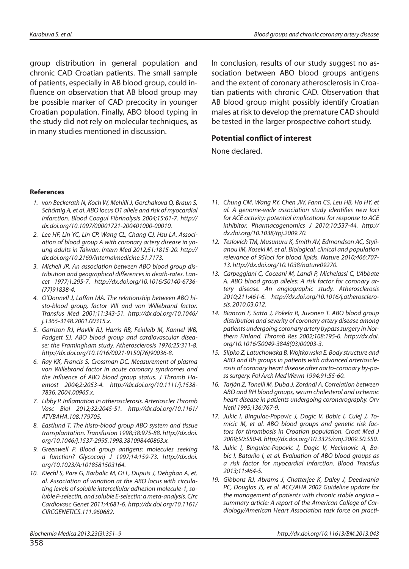group distribution in general population and chronic CAD Croatian patients. The small sample of patients, especially in AB blood group, could influence on observation that AB blood group may be possible marker of CAD precocity in younger Croatian population. Finally, ABO blood typing in the study did not rely on molecular techniques, as in many studies mentioned in discussion.

In conclusion, results of our study suggest no association between ABO blood groups antigens and the extent of coronary atherosclerosis in Croatian patients with chronic CAD. Observation that AB blood group might possibly identify Croatian males at risk to develop the premature CAD should be tested in the larger prospective cohort study.

#### **Potential conflict of interest**

None declared.

#### **References**

- *1. von Beckerath N, Koch W, Mehilli J, Gorchakova O, Braun S, Schömig A, et al. ABO locus O1 allele and risk of myocardial infarction. Blood Coagul Fibrinolysis 2004;15:61-7. http:// dx.doi.org/10.1097/00001721-200401000-00010.*
- *2. Lee HF, Lin YC, Lin CP, Wang CL, Chang CJ, Hsu LA. Association of blood group A with coronary artery disease in young adults in Taiwan. Intern Med 2012;51:1815-20. http:// dx.doi.org/10.2169/internalmedicine.51.7173.*
- *3. Michell JR. An association between ABO blood group distribution and geographical differences in death-rates. Lancet 1977;1:295-7. http://dx.doi.org/10.1016/S0140-6736- (77)91838-4.*
- *4. O'Donnell J, Laffan MA. The relationship between ABO histo-blood group, factor VIII and von Willebrand factor. Transfus Med 2001;11:343-51. http://dx.doi.org/10.1046/ j.1365-3148.2001.00315.x.*
- *5. Garrison RJ, Havlik RJ, Harris RB, Feinleib M, Kannel WB, Padgett SJ. ABO blood group and cardiovascular disease: the Framingham study. Atherosclerosis 1976;25:311-8. http://dx.doi.org/10.1016/0021-9150(76)90036-8.*
- *6. Ray KK, Francis S, Crossman DC. Measurement of plasma von Willebrand factor in acute coronary syndromes and the influence of ABO blood group status. J Thromb Haemost 2004;2:2053-4. http://dx.doi.org/10.1111/j.1538- 7836. 2004.00965.x.*
- *7. Libby P. Inflamation in atherosclerosis. Arterioscler Thromb Vasc Biol 2012;32:2045-51. http://dx.doi.org/10.1161/ ATVBAHA.108.179705.*
- *8. Eastlund T. The histo-blood group ABO system and tissue transplantation. Transfusion 1998;38:975-88. http://dx.doi. org/10.1046/j.1537-2995.1998.381098440863.x.*
- *9. Greenwell P. Blood group antigens: molecules seeking a function? Glycoconj J 1997;14:159-73. http://dx.doi. org/10.1023/A:1018581503164.*
- *10. Kiechl S, Pare G, Barbalic M, Oi L, Dupuis J, Dehghan A, et. al. Association of variation at the ABO locus with circulating levels of soluble intercellular adhesion molecule-1, soluble P-selectin, and soluble E-selectin: a meta-analysis. Circ Cardiovasc Genet 2011;4:681-6. http://dx.doi.org/10.1161/ CIRCGENETICS.111.960682.*
- *11. Chung CM, Wang RY, Chen JW, Fann CS, Leu HB, Ho HY, et al. A genome-wide association study identifies new loci for ACE activity: potential implications for response to ACE inhibitor. Pharmacogenomics J 2010;10:537-44. http:// dx.doi.org/10.1038/tpj.2009.70.*
- *12. Teslovich TM, Musunuru K, Smith AV, Edmondson AC, Stylianou IM, Koseki M, et al. Biological, clinical and population relevance of 95loci for blood lipids. Nature 2010;466:707- 13. http://dx.doi.org/10.1038/nature09270.*
- *13. Carpeggiani C, Coceani M, Landi P, Michelassi C, L'Abbate A. ABO blood group alleles: A risk factor for coronary artery disease. An angiographic study. Atherosclerosis 2010;211:461-6. http://dx.doi.org/10.1016/j.atherosclerosis. 2010.03.012.*
- *14. Biancari F, Satta J, Pokela R, Juvonen T. ABO blood group distribution and severity of coronary artery disease among patients undergoing coronary artery bypass surgery in Northern Finland. Thromb Res 2002;108:195-6. http://dx.doi. org/10.1016/S0049-3848(03)00003-3.*
- *15. Slipko Z, Latuchowska B, Wojtkowska E. Body structure and ABO and Rh groups in patients with advanced arteriosclerosis of coronary heart disease after aorto-coronary by-pass surgery. Pol Arch Med Wewn 1994;91:55-60.*
- *16. Tarján Z, Tonelli M, Duba J, Zorándi A. Correlation between ABO and RH blood groups, serum cholesterol and ischemic heart disease in patients undergoing coronarography. Orv Hetil 1995;136:767-9.*
- *17. Jukic I, Bingulac-Popovic J, Dogic V, Babic I, Culej J, Tomicic M, et al. ABO blood groups and genetic risk factors for thrombosis in Croatian population. Croat Med J 2009;50:550-8. http://dx.doi.org/10.3325/cmj.2009.50.550.*
- *18. Jukic I, Bingulac-Popovic J, Dogic V, Hecimovic A, Babic I, Batarilo I, et al. Evaluation of ABO blood groups as a risk factor for myocardial infarction. Blood Transfus 2013;11:464-5.*
- *19. Gibbons RJ, Abrams J, Chatterjee K, Daley J, Deedwania PC, Douglas JS, et al. ACC/AHA 2002 Guideline update for the management of patients with chronic stable angina – summary article: A report of the American College of Cardiology/American Heart Association task force on practi-*